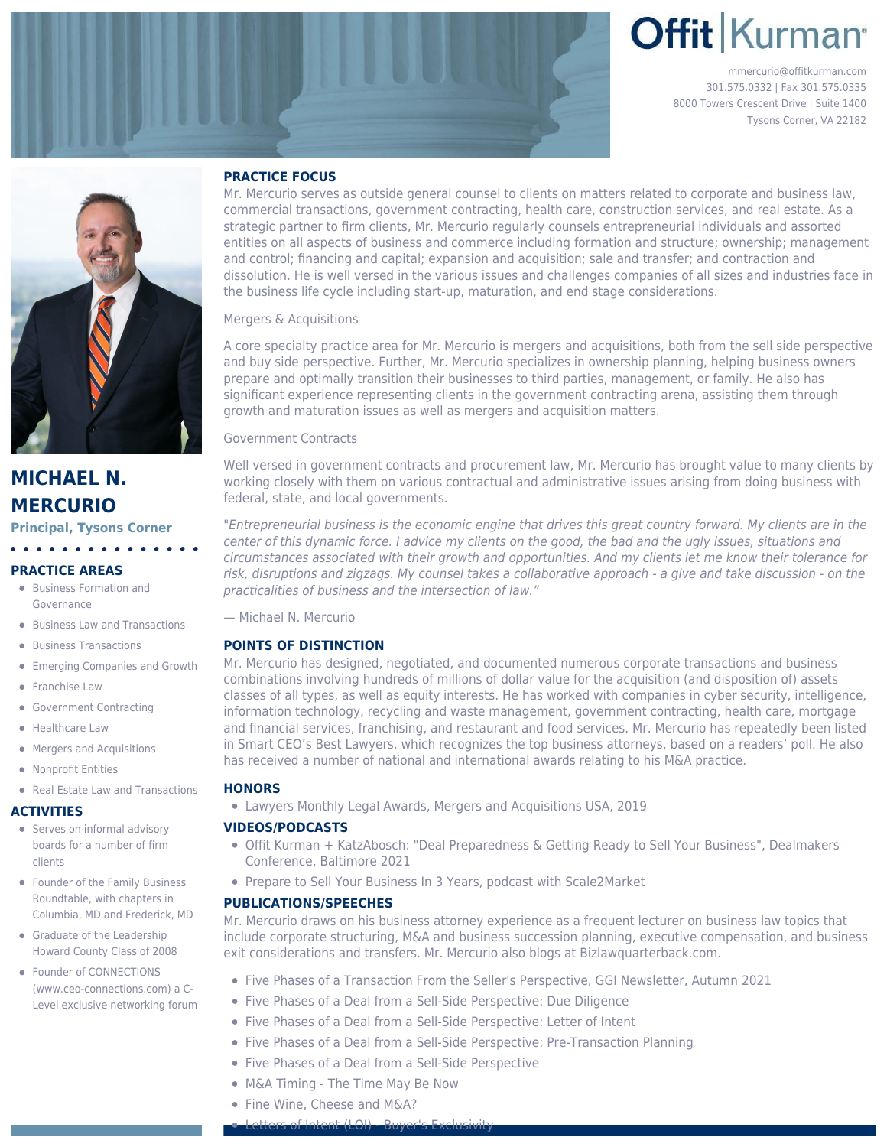# **Offit Kurman**

mmercurio@offitkurman.com 301.575.0332 | Fax 301.575.0335 8000 Towers Crescent Drive | Suite 1400 Tysons Corner, VA 22182



## **MICHAEL N. MERCURIO**

**Principal, Tysons Corner**

### **PRACTICE AREAS**

[Business Formation and](https://www.offitkurman.com/service/health-care/business-formation-and-governance/) [Governance](https://www.offitkurman.com/service/health-care/business-formation-and-governance/)

 $\mathbf{A} \cdot \mathbf{A} \cdot \mathbf{A} \cdot \mathbf{A} \cdot \mathbf{A}$ 

- [Business Law and Transactions](https://www.offitkurman.com/service/business/)
- **•** [Business Transactions](https://www.offitkurman.com/service/business/business-transactions/)
- **•** [Emerging Companies and Growth](https://www.offitkurman.com/service/emerging-companies-and-growth/)
- **•** [Franchise Law](https://www.offitkurman.com/service/franchise-law/)
- [Government Contracting](https://www.offitkurman.com/service/government-contracting/)
- [Healthcare Law](https://www.offitkurman.com/service/health-care/)
- **•** [Mergers and Acquisitions](https://www.offitkurman.com/service/mergers-and-acquisitions/)
- [Nonprofit Entities](https://www.offitkurman.com/service/non-profit-entities/)
- [Real Estate Law and Transactions](https://www.offitkurman.com/service/real-estate/)

#### **ACTIVITIES**

- **•** Serves on informal advisory boards for a number of firm clients
- **Founder of the Family Business** Roundtable, with chapters in Columbia, MD and Frederick, MD
- **Graduate of the Leadership** Howard County Class of 2008
- Founder of CONNECTIONS (www.ceo-connections.com) a C-Level exclusive networking forum

#### **PRACTICE FOCUS**

Mr. Mercurio serves as outside general counsel to clients on matters related to corporate and business law, commercial transactions, government contracting, health care, construction services, and real estate. As a strategic partner to firm clients, Mr. Mercurio regularly counsels entrepreneurial individuals and assorted entities on all aspects of business and commerce including formation and structure; ownership; management and control; financing and capital; expansion and acquisition; sale and transfer; and contraction and dissolution. He is well versed in the various issues and challenges companies of all sizes and industries face in the business life cycle including start-up, maturation, and end stage considerations.

Mergers & Acquisitions

A core specialty practice area for Mr. Mercurio is mergers and acquisitions, both from the sell side perspective and buy side perspective. Further, Mr. Mercurio specializes in ownership planning, helping business owners prepare and optimally transition their businesses to third parties, management, or family. He also has significant experience representing clients in the government contracting arena, assisting them through growth and maturation issues as well as mergers and acquisition matters.

Government Contracts

Well versed in government contracts and procurement law, Mr. Mercurio has brought value to many clients by working closely with them on various contractual and administrative issues arising from doing business with federal, state, and local governments.

"Entrepreneurial business is the economic engine that drives this great country forward. My clients are in the center of this dynamic force. I advice my clients on the good, the bad and the ugly issues, situations and circumstances associated with their growth and opportunities. And my clients let me know their tolerance for risk, disruptions and zigzags. My counsel takes a collaborative approach - a give and take discussion - on the practicalities of business and the intersection of law."

— Michael N. Mercurio

#### **POINTS OF DISTINCTION**

Mr. Mercurio has designed, negotiated, and documented numerous corporate transactions and business combinations involving hundreds of millions of dollar value for the acquisition (and disposition of) assets classes of all types, as well as equity interests. He has worked with companies in cyber security, intelligence, information technology, recycling and waste management, government contracting, health care, mortgage and financial services, franchising, and restaurant and food services. Mr. Mercurio has repeatedly been listed in Smart CEO's Best Lawyers, which recognizes the top business attorneys, based on a readers' poll. He also has received a number of national and international awards relating to his M&A practice.

#### **HONORS**

Lawyers Monthly Legal Awards, Mergers and Acquisitions USA, 2019

#### **VIDEOS/PODCASTS**

- [Offit Kurman + KatzAbosch: "Deal Preparedness & Getting Ready to Sell Your Business",](https://www.youtube.com/watch?v=JLL1WxGybww) Dealmakers Conference, Baltimore 2021
- [Prepare to Sell Your Business In 3 Years,](https://www.scale2market.com/webinars-on-demand) podcast with Scale2Market

#### **PUBLICATIONS/SPEECHES**

Mr. Mercurio draws on his business attorney experience as a frequent lecturer on business law topics that include corporate structuring, M&A and business succession planning, executive compensation, and business exit considerations and transfers. Mr. Mercurio also blogs at [Bizlawquarterback.com.](https://www.offitkurman.com/bizlaw-quarterback/)

- [Five Phases of a Transaction From the Seller's Perspective](https://press.ggi.com/ma/01/), GGI Newsletter, Autumn 2021
- [Five Phases of a Deal from a Sell-Side Perspective: Due Diligence](https://www.offitkurman.com/blog/2021/07/22/five-phases-of-a-deal-from-a-sell-side-perspective-letter-of-intent-2/)
- [Five Phases of a Deal from a Sell-Side Perspective: Letter of Intent](https://www.offitkurman.com/blog/2021/06/16/five-phases-of-a-deal-from-a-sell-side-perspective-letter-of-intent/)
- [Five Phases of a Deal from a Sell-Side Perspective: Pre-Transaction Planning](https://www.offitkurman.com/blog/2021/05/27/five-phases-of-a-deal-from-a-sell-side-perspective-pre-transaction-planning/)
- [Five Phases of a Deal from a Sell-Side Perspective](https://www.offitkurman.com/blog/2021/03/26/five-phases-of-a-deal-from-a-sell-side-perspective/)
- [M&A Timing The Time May Be Now](https://www.offitkurman.com/blog/2021/03/19/ma-timing-the-time-may-be-now/)
- [Fine Wine, Cheese and M&A?](https://www.offitkurman.com/blog/2021/01/22/fine-wine-cheese-and-ma/)